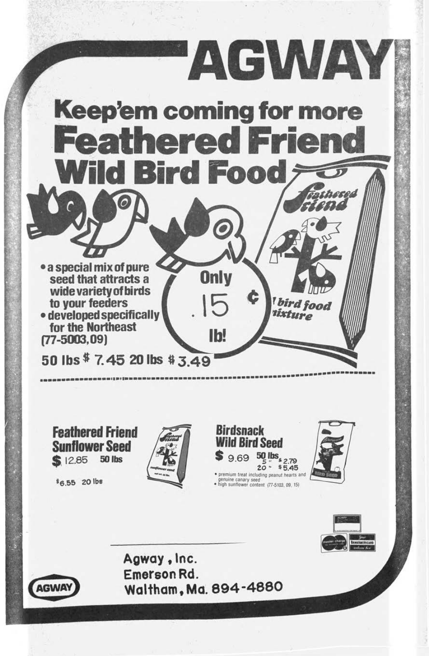